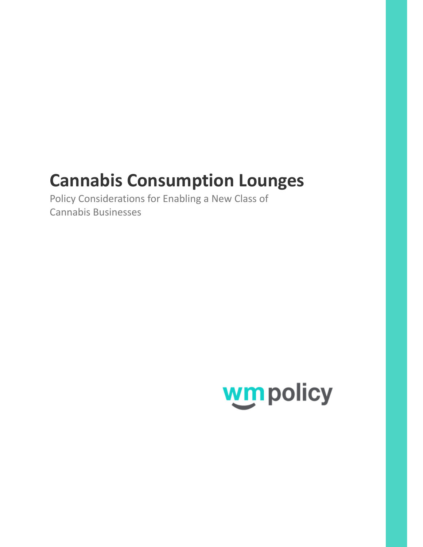# **Cannabis Consumption Lounges**

Policy Considerations for Enabling a New Class of Cannabis Businesses

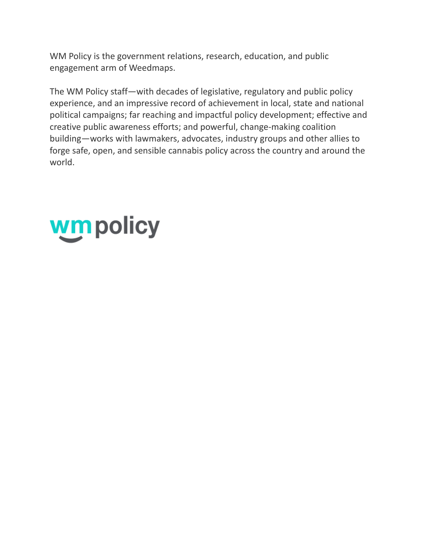WM Policy is the government relations, research, education, and public engagement arm of Weedmaps.

The WM Policy staff—with decades of legislative, regulatory and public policy experience, and an impressive record of achievement in local, state and national political campaigns; far reaching and impactful policy development; effective and creative public awareness efforts; and powerful, change-making coalition building—works with lawmakers, advocates, industry groups and other allies to forge safe, open, and sensible cannabis policy across the country and around the world.

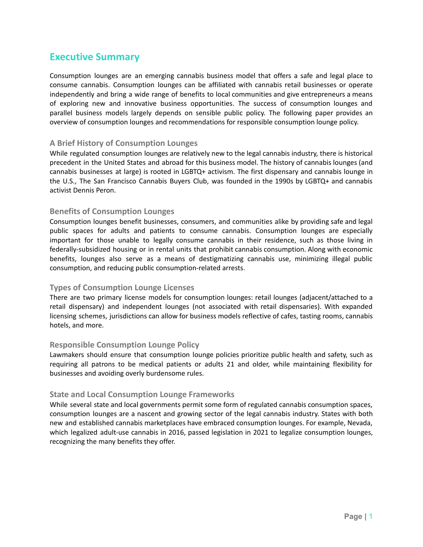# **Executive Summary**

Consumption lounges are an emerging cannabis business model that offers a safe and legal place to consume cannabis. Consumption lounges can be affiliated with cannabis retail businesses or operate independently and bring a wide range of benefits to local communities and give entrepreneurs a means of exploring new and innovative business opportunities. The success of consumption lounges and parallel business models largely depends on sensible public policy. The following paper provides an overview of consumption lounges and recommendations for responsible consumption lounge policy.

#### **A Brief History of Consumption Lounges**

While regulated consumption lounges are relatively new to the legal cannabis industry, there is historical precedent in the United States and abroad for this business model. The history of cannabis lounges (and cannabis businesses at large) is rooted in LGBTQ+ activism. The first dispensary and cannabis lounge in the U.S., The San Francisco Cannabis Buyers Club, was founded in the 1990s by LGBTQ+ and cannabis activist Dennis Peron.

#### **Benefits of Consumption Lounges**

Consumption lounges benefit businesses, consumers, and communities alike by providing safe and legal public spaces for adults and patients to consume cannabis. Consumption lounges are especially important for those unable to legally consume cannabis in their residence, such as those living in federally-subsidized housing or in rental units that prohibit cannabis consumption. Along with economic benefits, lounges also serve as a means of destigmatizing cannabis use, minimizing illegal public consumption, and reducing public consumption-related arrests.

#### **Types of Consumption Lounge Licenses**

There are two primary license models for consumption lounges: retail lounges (adjacent/attached to a retail dispensary) and independent lounges (not associated with retail dispensaries). With expanded licensing schemes, jurisdictions can allow for business models reflective of cafes, tasting rooms, cannabis hotels, and more.

#### **Responsible Consumption Lounge Policy**

Lawmakers should ensure that consumption lounge policies prioritize public health and safety, such as requiring all patrons to be medical patients or adults 21 and older, while maintaining flexibility for businesses and avoiding overly burdensome rules.

#### **State and Local Consumption Lounge Frameworks**

While several state and local governments permit some form of regulated cannabis consumption spaces, consumption lounges are a nascent and growing sector of the legal cannabis industry. States with both new and established cannabis marketplaces have embraced consumption lounges. For example, Nevada, which legalized adult-use cannabis in 2016, passed legislation in 2021 to legalize consumption lounges, recognizing the many benefits they offer.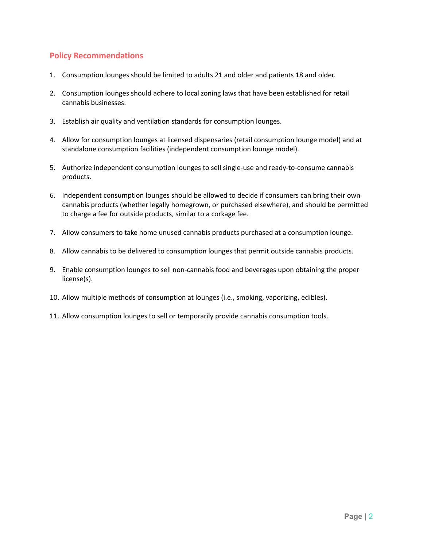## **Policy Recommendations**

- 1. Consumption lounges should be limited to adults 21 and older and patients 18 and older.
- 2. Consumption lounges should adhere to local zoning laws that have been established for retail cannabis businesses.
- 3. Establish air quality and ventilation standards for consumption lounges.
- 4. Allow for consumption lounges at licensed dispensaries (retail consumption lounge model) and at standalone consumption facilities (independent consumption lounge model).
- 5. Authorize independent consumption lounges to sell single-use and ready-to-consume cannabis products.
- 6. Independent consumption lounges should be allowed to decide if consumers can bring their own cannabis products (whether legally homegrown, or purchased elsewhere), and should be permitted to charge a fee for outside products, similar to a corkage fee.
- 7. Allow consumers to take home unused cannabis products purchased at a consumption lounge.
- 8. Allow cannabis to be delivered to consumption lounges that permit outside cannabis products.
- 9. Enable consumption lounges to sell non-cannabis food and beverages upon obtaining the proper license(s).
- 10. Allow multiple methods of consumption at lounges (i.e., smoking, vaporizing, edibles).
- 11. Allow consumption lounges to sell or temporarily provide cannabis consumption tools.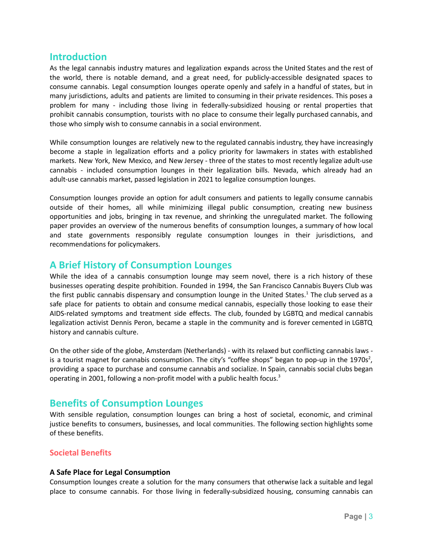## **Introduction**

As the legal cannabis industry matures and legalization expands across the United States and the rest of the world, there is notable demand, and a great need, for publicly-accessible designated spaces to consume cannabis. Legal consumption lounges operate openly and safely in a handful of states, but in many jurisdictions, adults and patients are limited to consuming in their private residences. This poses a problem for many - including those living in federally-subsidized housing or rental properties that prohibit cannabis consumption, tourists with no place to consume their legally purchased cannabis, and those who simply wish to consume cannabis in a social environment.

While consumption lounges are relatively new to the regulated cannabis industry, they have increasingly become a staple in legalization efforts and a policy priority for lawmakers in states with established markets. New York, New Mexico, and New Jersey - three of the states to most recently legalize adult-use cannabis - included consumption lounges in their legalization bills. Nevada, which already had an adult-use cannabis market, passed legislation in 2021 to legalize consumption lounges.

Consumption lounges provide an option for adult consumers and patients to legally consume cannabis outside of their homes, all while minimizing illegal public consumption, creating new business opportunities and jobs, bringing in tax revenue, and shrinking the unregulated market. The following paper provides an overview of the numerous benefits of consumption lounges, a summary of how local and state governments responsibly regulate consumption lounges in their jurisdictions, and recommendations for policymakers.

# **A Brief History of Consumption Lounges**

While the idea of a cannabis consumption lounge may seem novel, there is a rich history of these businesses operating despite prohibition. Founded in 1994, the San Francisco Cannabis Buyers Club was the first public cannabis dispensary and consumption lounge in the United States. <sup>1</sup> The club served as a safe place for patients to obtain and consume medical cannabis, especially those looking to ease their AIDS-related symptoms and treatment side effects. The club, founded by LGBTQ and medical cannabis legalization activist Dennis Peron, became a staple in the community and is forever cemented in LGBTQ history and cannabis culture.

On the other side of the globe, Amsterdam (Netherlands) - with its relaxed but conflicting cannabis laws is a tourist magnet for cannabis consumption. The city's "coffee shops" began to pop-up in the 1970s<sup>2</sup>, providing a space to purchase and consume cannabis and socialize. In Spain, cannabis social clubs began operating in 2001, following a non-profit model with a public health focus.<sup>3</sup>

# **Benefits of Consumption Lounges**

With sensible regulation, consumption lounges can bring a host of societal, economic, and criminal justice benefits to consumers, businesses, and local communities. The following section highlights some of these benefits.

## **Societal Benefits**

#### **A Safe Place for Legal Consumption**

Consumption lounges create a solution for the many consumers that otherwise lack a suitable and legal place to consume cannabis. For those living in federally-subsidized housing, consuming cannabis can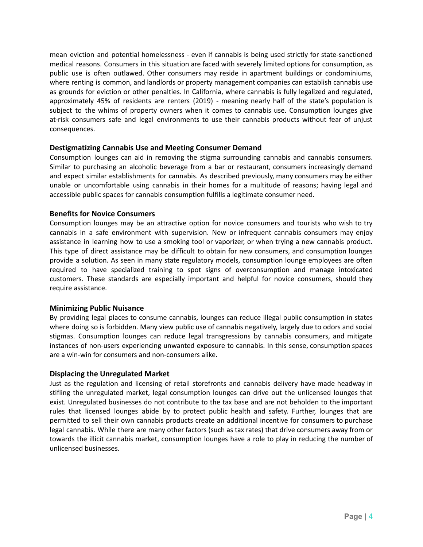mean eviction and potential homelessness - even if cannabis is being used strictly for state-sanctioned medical reasons. Consumers in this situation are faced with severely limited options for consumption, as public use is often outlawed. Other consumers may reside in apartment buildings or condominiums, where renting is common, and landlords or property management companies can establish cannabis use as grounds for eviction or other penalties. In California, where cannabis is fully legalized and regulated, approximately 45% of residents are renters (2019) - meaning nearly half of the state's population is subject to the whims of property owners when it comes to cannabis use. Consumption lounges give at-risk consumers safe and legal environments to use their cannabis products without fear of unjust consequences.

#### **Destigmatizing Cannabis Use and Meeting Consumer Demand**

Consumption lounges can aid in removing the stigma surrounding cannabis and cannabis consumers. Similar to purchasing an alcoholic beverage from a bar or restaurant, consumers increasingly demand and expect similar establishments for cannabis. As described previously, many consumers may be either unable or uncomfortable using cannabis in their homes for a multitude of reasons; having legal and accessible public spaces for cannabis consumption fulfills a legitimate consumer need.

#### **Benefits for Novice Consumers**

Consumption lounges may be an attractive option for novice consumers and tourists who wish to try cannabis in a safe environment with supervision. New or infrequent cannabis consumers may enjoy assistance in learning how to use a smoking tool or vaporizer, or when trying a new cannabis product. This type of direct assistance may be difficult to obtain for new consumers, and consumption lounges provide a solution. As seen in many state regulatory models, consumption lounge employees are often required to have specialized training to spot signs of overconsumption and manage intoxicated customers. These standards are especially important and helpful for novice consumers, should they require assistance.

#### **Minimizing Public Nuisance**

By providing legal places to consume cannabis, lounges can reduce illegal public consumption in states where doing so is forbidden. Many view public use of cannabis negatively, largely due to odors and social stigmas. Consumption lounges can reduce legal transgressions by cannabis consumers, and mitigate instances of non-users experiencing unwanted exposure to cannabis. In this sense, consumption spaces are a win-win for consumers and non-consumers alike.

#### **Displacing the Unregulated Market**

Just as the regulation and licensing of retail storefronts and cannabis delivery have made headway in stifling the unregulated market, legal consumption lounges can drive out the unlicensed lounges that exist. Unregulated businesses do not contribute to the tax base and are not beholden to the important rules that licensed lounges abide by to protect public health and safety. Further, lounges that are permitted to sell their own cannabis products create an additional incentive for consumers to purchase legal cannabis. While there are many other factors (such as tax rates) that drive consumers away from or towards the illicit cannabis market, consumption lounges have a role to play in reducing the number of unlicensed businesses.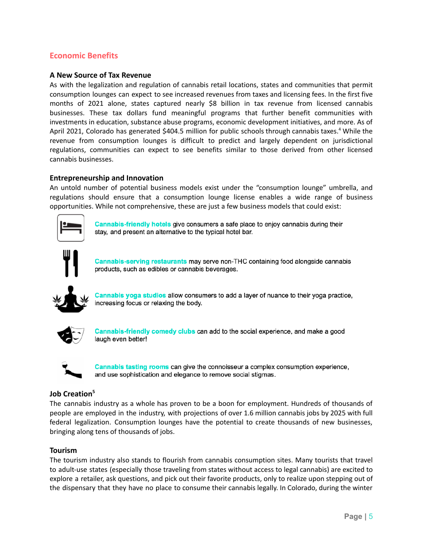## **Economic Benefits**

#### **A New Source of Tax Revenue**

As with the legalization and regulation of cannabis retail locations, states and communities that permit consumption lounges can expect to see increased revenues from taxes and licensing fees. In the first five months of 2021 alone, states captured nearly \$8 billion in tax revenue from licensed cannabis businesses. These tax dollars fund meaningful programs that further benefit communities with investments in education, substance abuse programs, economic development initiatives, and more. As of April 2021, Colorado has generated \$404.5 million for public schools through cannabis taxes.<sup>4</sup> While the revenue from consumption lounges is difficult to predict and largely dependent on jurisdictional regulations, communities can expect to see benefits similar to those derived from other licensed cannabis businesses.

#### **Entrepreneurship and Innovation**

An untold number of potential business models exist under the "consumption lounge" umbrella, and regulations should ensure that a consumption lounge license enables a wide range of business opportunities. While not comprehensive, these are just a few business models that could exist:



Cannabis-friendly hotels give consumers a safe place to enjoy cannabis during their stay, and present an alternative to the typical hotel bar.



Cannabis-serving restaurants may serve non-THC containing food alongside cannabis products, such as edibles or cannabis beverages.



Cannabis yoga studios allow consumers to add a layer of nuance to their yoga practice, increasing focus or relaxing the body.



Cannabis-friendly comedy clubs can add to the social experience, and make a good laugh even better!



Cannabis tasting rooms can give the connoisseur a complex consumption experience, and use sophistication and elegance to remove social stigmas.

#### **Job Creation<sup>5</sup>**

The cannabis industry as a whole has proven to be a boon for employment. Hundreds of thousands of people are employed in the industry, with projections of over 1.6 million cannabis jobs by 2025 with full federal legalization. Consumption lounges have the potential to create thousands of new businesses, bringing along tens of thousands of jobs.

#### **Tourism**

The tourism industry also stands to flourish from cannabis consumption sites. Many tourists that travel to adult-use states (especially those traveling from states without access to legal cannabis) are excited to explore a retailer, ask questions, and pick out their favorite products, only to realize upon stepping out of the dispensary that they have no place to consume their cannabis legally. In Colorado, during the winter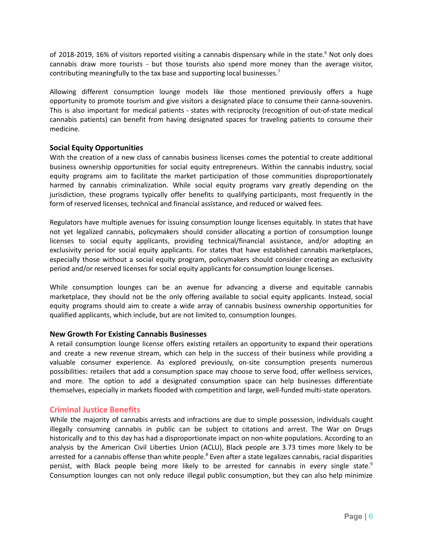of 2018-2019, 16% of visitors reported visiting a cannabis dispensary while in the state.<sup>6</sup> Not only does cannabis draw more tourists - but those tourists also spend more money than the average visitor, contributing meaningfully to the tax base and supporting local businesses.<sup>7</sup>

Allowing different consumption lounge models like those mentioned previously offers a huge opportunity to promote tourism and give visitors a designated place to consume their canna-souvenirs. This is also important for medical patients - states with reciprocity (recognition of out-of-state medical cannabis patients) can benefit from having designated spaces for traveling patients to consume their medicine.

#### **Social Equity Opportunities**

With the creation of a new class of cannabis business licenses comes the potential to create additional business ownership opportunities for social equity entrepreneurs. Within the cannabis industry, social equity programs aim to facilitate the market participation of those communities disproportionately harmed by cannabis criminalization. While social equity programs vary greatly depending on the jurisdiction, these programs typically offer benefits to qualifying participants, most frequently in the form of reserved licenses, technical and financial assistance, and reduced or waived fees.

Regulators have multiple avenues for issuing consumption lounge licenses equitably. In states that have not yet legalized cannabis, policymakers should consider allocating a portion of consumption lounge licenses to social equity applicants, providing technical/financial assistance, and/or adopting an exclusivity period for social equity applicants. For states that have established cannabis marketplaces, especially those without a social equity program, policymakers should consider creating an exclusivity period and/or reserved licenses for social equity applicants for consumption lounge licenses.

While consumption lounges can be an avenue for advancing a diverse and equitable cannabis marketplace, they should not be the only offering available to social equity applicants. Instead, social equity programs should aim to create a wide array of cannabis business ownership opportunities for qualified applicants, which include, but are not limited to, consumption lounges.

#### **New Growth For Existing Cannabis Businesses**

A retail consumption lounge license offers existing retailers an opportunity to expand their operations and create a new revenue stream, which can help in the success of their business while providing a valuable consumer experience. As explored previously, on-site consumption presents numerous possibilities: retailers that add a consumption space may choose to serve food, offer wellness services, and more. The option to add a designated consumption space can help businesses differentiate themselves, especially in markets flooded with competition and large, well-funded multi-state operators.

#### **Criminal Justice Benefits**

While the majority of cannabis arrests and infractions are due to simple possession, individuals caught illegally consuming cannabis in public can be subject to citations and arrest. The War on Drugs historically and to this day has had a disproportionate impact on non-white populations. According to an analysis by the American Civil Liberties Union (ACLU), Black people are 3.73 times more likely to be arrested for a cannabis offense than white people.<sup>8</sup> Even after a state legalizes cannabis, racial disparities persist, with Black people being more likely to be arrested for cannabis in every single state.<sup>9</sup> Consumption lounges can not only reduce illegal public consumption, but they can also help minimize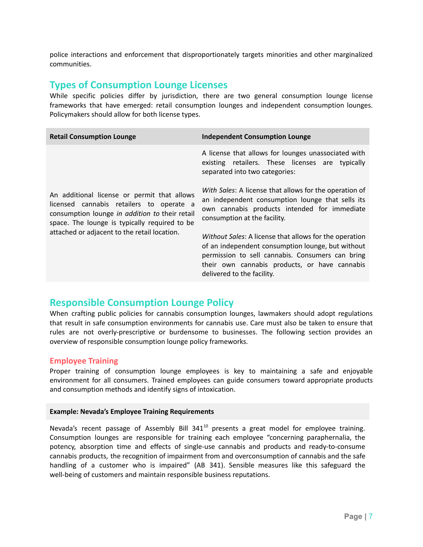police interactions and enforcement that disproportionately targets minorities and other marginalized communities.

# **Types of Consumption Lounge Licenses**

While specific policies differ by jurisdiction, there are two general consumption lounge license frameworks that have emerged: retail consumption lounges and independent consumption lounges. Policymakers should allow for both license types.

| <b>Retail Consumption Lounge</b>                                                                                                                                                                                                           | <b>Independent Consumption Lounge</b>                                                                                                                                                                                                          |
|--------------------------------------------------------------------------------------------------------------------------------------------------------------------------------------------------------------------------------------------|------------------------------------------------------------------------------------------------------------------------------------------------------------------------------------------------------------------------------------------------|
|                                                                                                                                                                                                                                            | A license that allows for lounges unassociated with<br>existing retailers. These licenses are typically<br>separated into two categories:                                                                                                      |
| An additional license or permit that allows<br>licensed cannabis retailers to operate a<br>consumption lounge in addition to their retail<br>space. The lounge is typically required to be<br>attached or adjacent to the retail location. | With Sales: A license that allows for the operation of<br>an independent consumption lounge that sells its<br>own cannabis products intended for immediate<br>consumption at the facility.                                                     |
|                                                                                                                                                                                                                                            | Without Sales: A license that allows for the operation<br>of an independent consumption lounge, but without<br>permission to sell cannabis. Consumers can bring<br>their own cannabis products, or have cannabis<br>delivered to the facility. |

# **Responsible Consumption Lounge Policy**

When crafting public policies for cannabis consumption lounges, lawmakers should adopt regulations that result in safe consumption environments for cannabis use. Care must also be taken to ensure that rules are not overly-prescriptive or burdensome to businesses. The following section provides an overview of responsible consumption lounge policy frameworks.

#### **Employee Training**

Proper training of consumption lounge employees is key to maintaining a safe and enjoyable environment for all consumers. Trained employees can guide consumers toward appropriate products and consumption methods and identify signs of intoxication.

#### **Example: Nevada's Employee Training Requirements**

Nevada's recent passage of Assembly Bill 341<sup>10</sup> presents a great model for employee training. Consumption lounges are responsible for training each employee "concerning paraphernalia, the potency, absorption time and effects of single-use cannabis and products and ready-to-consume cannabis products, the recognition of impairment from and overconsumption of cannabis and the safe handling of a customer who is impaired" (AB 341). Sensible measures like this safeguard the well-being of customers and maintain responsible business reputations.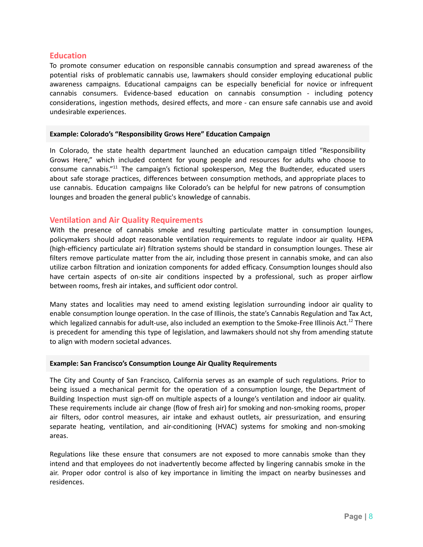#### **Education**

To promote consumer education on responsible cannabis consumption and spread awareness of the potential risks of problematic cannabis use, lawmakers should consider employing educational public awareness campaigns. Educational campaigns can be especially beneficial for novice or infrequent cannabis consumers. Evidence-based education on cannabis consumption - including potency considerations, ingestion methods, desired effects, and more - can ensure safe cannabis use and avoid undesirable experiences.

#### **Example: Colorado's "Responsibility Grows Here" Education Campaign**

In Colorado, the state health department launched an education campaign titled "Responsibility Grows Here," which included content for young people and resources for adults who choose to consume cannabis."<sup>11</sup> The campaign's fictional spokesperson, Meg the Budtender, educated users about safe storage practices, differences between consumption methods, and appropriate places to use cannabis. Education campaigns like Colorado's can be helpful for new patrons of consumption lounges and broaden the general public's knowledge of cannabis.

#### **Ventilation and Air Quality Requirements**

With the presence of cannabis smoke and resulting particulate matter in consumption lounges, policymakers should adopt reasonable ventilation requirements to regulate indoor air quality. HEPA (high-efficiency particulate air) filtration systems should be standard in consumption lounges. These air filters remove particulate matter from the air, including those present in cannabis smoke, and can also utilize carbon filtration and ionization components for added efficacy. Consumption lounges should also have certain aspects of on-site air conditions inspected by a professional, such as proper airflow between rooms, fresh air intakes, and sufficient odor control.

Many states and localities may need to amend existing legislation surrounding indoor air quality to enable consumption lounge operation. In the case of Illinois, the state's Cannabis Regulation and Tax Act, which legalized cannabis for adult-use, also included an exemption to the Smoke-Free Illinois Act.<sup>12</sup> There is precedent for amending this type of legislation, and lawmakers should not shy from amending statute to align with modern societal advances.

#### **Example: San Francisco's Consumption Lounge Air Quality Requirements**

The City and County of San Francisco, California serves as an example of such regulations. Prior to being issued a mechanical permit for the operation of a consumption lounge, the Department of Building Inspection must sign-off on multiple aspects of a lounge's ventilation and indoor air quality. These requirements include air change (flow of fresh air) for smoking and non-smoking rooms, proper air filters, odor control measures, air intake and exhaust outlets, air pressurization, and ensuring separate heating, ventilation, and air-conditioning (HVAC) systems for smoking and non-smoking areas.

Regulations like these ensure that consumers are not exposed to more cannabis smoke than they intend and that employees do not inadvertently become affected by lingering cannabis smoke in the air. Proper odor control is also of key importance in limiting the impact on nearby businesses and residences.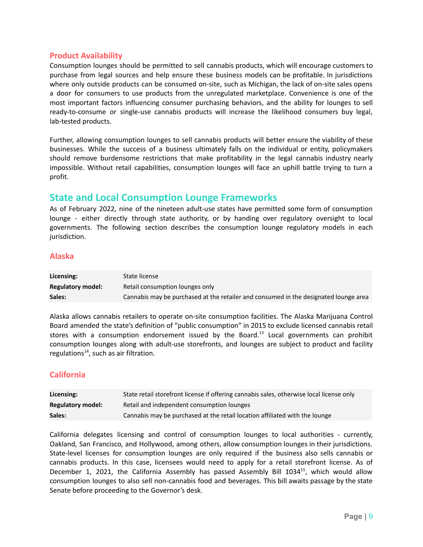#### **Product Availability**

Consumption lounges should be permitted to sell cannabis products, which will encourage customers to purchase from legal sources and help ensure these business models can be profitable. In jurisdictions where only outside products can be consumed on-site, such as Michigan, the lack of on-site sales opens a door for consumers to use products from the unregulated marketplace. Convenience is one of the most important factors influencing consumer purchasing behaviors, and the ability for lounges to sell ready-to-consume or single-use cannabis products will increase the likelihood consumers buy legal, lab-tested products.

Further, allowing consumption lounges to sell cannabis products will better ensure the viability of these businesses. While the success of a business ultimately falls on the individual or entity, policymakers should remove burdensome restrictions that make profitability in the legal cannabis industry nearly impossible. Without retail capabilities, consumption lounges will face an uphill battle trying to turn a profit.

## **State and Local Consumption Lounge Frameworks**

As of February 2022, nine of the nineteen adult-use states have permitted some form of consumption lounge - either directly through state authority, or by handing over regulatory oversight to local governments. The following section describes the consumption lounge regulatory models in each jurisdiction.

#### **Alaska**

| Licensing:               | State license                                                                        |
|--------------------------|--------------------------------------------------------------------------------------|
| <b>Regulatory model:</b> | Retail consumption lounges only                                                      |
| Sales:                   | Cannabis may be purchased at the retailer and consumed in the designated lounge area |

Alaska allows cannabis retailers to operate on-site consumption facilities. The Alaska Marijuana Control Board amended the state's definition of "public consumption" in 2015 to exclude licensed cannabis retail stores with a consumption endorsement issued by the Board.<sup>13</sup> Local governments can prohibit consumption lounges along with adult-use storefronts, and lounges are subject to product and facility regulations<sup>14</sup>, such as air filtration.

## **California**

| Licensing:               | State retail storefront license if offering cannabis sales, otherwise local license only |
|--------------------------|------------------------------------------------------------------------------------------|
| <b>Regulatory model:</b> | Retail and independent consumption lounges                                               |
| Sales:                   | Cannabis may be purchased at the retail location affiliated with the lounge              |

California delegates licensing and control of consumption lounges to local authorities - currently, Oakland, San Francisco, and Hollywood, among others, allow consumption lounges in their jurisdictions. State-level licenses for consumption lounges are only required if the business also sells cannabis or cannabis products. In this case, licensees would need to apply for a retail storefront license. As of December 1, 2021, the California Assembly has passed Assembly Bill 1034<sup>15</sup>, which would allow consumption lounges to also sell non-cannabis food and beverages. This bill awaits passage by the state Senate before proceeding to the Governor's desk.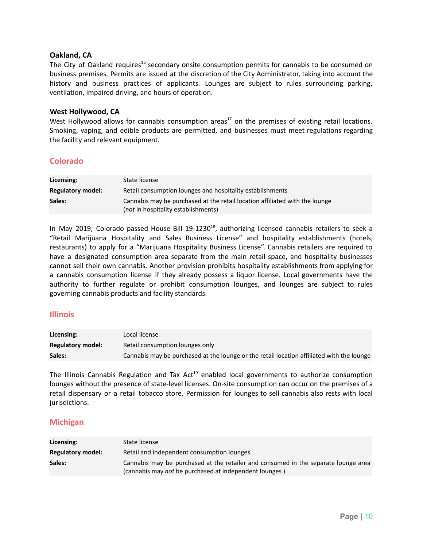#### **Oakland, CA**

The City of Oakland requires<sup>16</sup> secondary onsite consumption permits for cannabis to be consumed on business premises. Permits are issued at the discretion of the City Administrator, taking into account the history and business practices of applicants. Lounges are subject to rules surrounding parking, ventilation, impaired driving, and hours of operation.

#### **West Hollywood, CA**

West Hollywood allows for cannabis consumption areas<sup>17</sup> on the premises of existing retail locations. Smoking, vaping, and edible products are permitted, and businesses must meet regulations regarding the facility and relevant equipment.

#### **Colorado**

| Licensing:               | State license                                                                                                              |
|--------------------------|----------------------------------------------------------------------------------------------------------------------------|
| <b>Regulatory model:</b> | Retail consumption lounges and hospitality establishments                                                                  |
| Sales:                   | Cannabis may be purchased at the retail location affiliated with the lounge<br>( <i>not</i> in hospitality establishments) |

In May 2019, Colorado passed House Bill 19-1230<sup>18</sup>, authorizing licensed cannabis retailers to seek a "Retail Marijuana Hospitality and Sales Business License" and hospitality establishments (hotels, restaurants) to apply for a "Marijuana Hospitality Business License". Cannabis retailers are required to have a designated consumption area separate from the main retail space, and hospitality businesses cannot sell their own cannabis. Another provision prohibits hospitality establishments from applying for a cannabis consumption license if they already possess a liquor license. Local governments have the authority to further regulate or prohibit consumption lounges, and lounges are subject to rules governing cannabis products and facility standards.

#### **Illinois**

| Licensing:               | Local license                                                                             |
|--------------------------|-------------------------------------------------------------------------------------------|
| <b>Regulatory model:</b> | Retail consumption lounges only                                                           |
| Sales:                   | Cannabis may be purchased at the lounge or the retail location affiliated with the lounge |

The Illinois Cannabis Regulation and Tax Act<sup>19</sup> enabled local governments to authorize consumption lounges without the presence of state-level licenses. On-site consumption can occur on the premises of a retail dispensary or a retail tobacco store. Permission for lounges to sell cannabis also rests with local jurisdictions.

#### **Michigan**

| Licensing:               | State license                                                                                                                                |
|--------------------------|----------------------------------------------------------------------------------------------------------------------------------------------|
| <b>Regulatory model:</b> | Retail and independent consumption lounges                                                                                                   |
| Sales:                   | Cannabis may be purchased at the retailer and consumed in the separate lounge area<br>(cannabis may not be purchased at independent lounges) |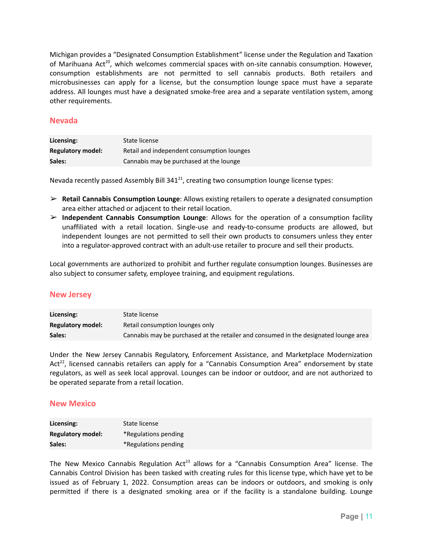Michigan provides a "Designated Consumption Establishment" license under the Regulation and Taxation of Marihuana Act<sup>20</sup>, which welcomes commercial spaces with on-site cannabis consumption. However, consumption establishments are not permitted to sell cannabis products. Both retailers and microbusinesses can apply for a license, but the consumption lounge space must have a separate address. All lounges must have a designated smoke-free area and a separate ventilation system, among other requirements.

#### **Nevada**

| Licensing:               | State license                              |
|--------------------------|--------------------------------------------|
| <b>Regulatory model:</b> | Retail and independent consumption lounges |
| Sales:                   | Cannabis may be purchased at the lounge    |

Nevada recently passed Assembly Bill 341<sup>21</sup>, creating two consumption lounge license types:

- ➢ **Retail Cannabis Consumption Lounge**: Allows existing retailers to operate a designated consumption area either attached or adjacent to their retail location.
- ➢ **Independent Cannabis Consumption Lounge**: Allows for the operation of a consumption facility unaffiliated with a retail location. Single-use and ready-to-consume products are allowed, but independent lounges are not permitted to sell their own products to consumers unless they enter into a regulator-approved contract with an adult-use retailer to procure and sell their products.

Local governments are authorized to prohibit and further regulate consumption lounges. Businesses are also subject to consumer safety, employee training, and equipment regulations.

#### **New Jersey**

| Licensing:               | State license                                                                        |
|--------------------------|--------------------------------------------------------------------------------------|
| <b>Regulatory model:</b> | Retail consumption lounges only                                                      |
| Sales:                   | Cannabis may be purchased at the retailer and consumed in the designated lounge area |

Under the New Jersey Cannabis Regulatory, Enforcement Assistance, and Marketplace Modernization Act<sup>22</sup>, licensed cannabis retailers can apply for a "Cannabis Consumption Area" endorsement by state regulators, as well as seek local approval. Lounges can be indoor or outdoor, and are not authorized to be operated separate from a retail location.

#### **New Mexico**

| Licensing:               | State license        |
|--------------------------|----------------------|
| <b>Regulatory model:</b> | *Regulations pending |
| Sales:                   | *Regulations pending |

The New Mexico Cannabis Regulation Act<sup>23</sup> allows for a "Cannabis Consumption Area" license. The Cannabis Control Division has been tasked with creating rules for this license type, which have yet to be issued as of February 1, 2022. Consumption areas can be indoors or outdoors, and smoking is only permitted if there is a designated smoking area or if the facility is a standalone building. Lounge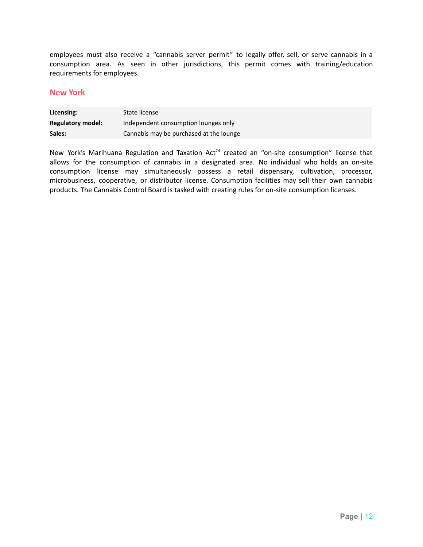employees must also receive a "cannabis server permit" to legally offer, sell, or serve cannabis in a consumption area. As seen in other jurisdictions, this permit comes with training/education requirements for employees.

### **New York**

| Licensing:               | State license                           |
|--------------------------|-----------------------------------------|
| <b>Regulatory model:</b> | Independent consumption lounges only    |
| Sales:                   | Cannabis may be purchased at the lounge |

New York's Marihuana Regulation and Taxation Act<sup>24</sup> created an "on-site consumption" license that allows for the consumption of cannabis in a designated area. No individual who holds an on-site consumption license may simultaneously possess a retail dispensary, cultivation, processor, microbusiness, cooperative, or distributor license. Consumption facilities may sell their own cannabis products. The Cannabis Control Board is tasked with creating rules for on-site consumption licenses.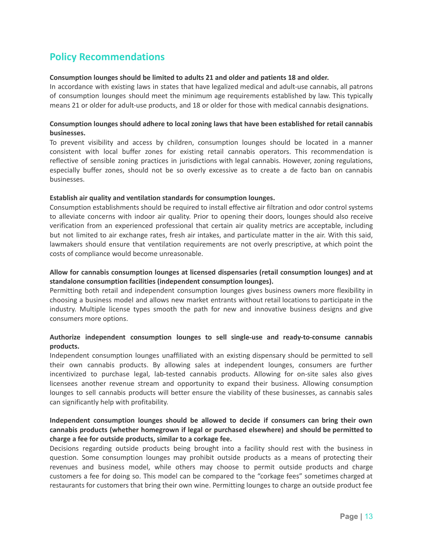# **Policy Recommendations**

#### **Consumption lounges should be limited to adults 21 and older and patients 18 and older.**

In accordance with existing laws in states that have legalized medical and adult-use cannabis, all patrons of consumption lounges should meet the minimum age requirements established by law. This typically means 21 or older for adult-use products, and 18 or older for those with medical cannabis designations.

#### **Consumption lounges should adhere to local zoning laws that have been established for retail cannabis businesses.**

To prevent visibility and access by children, consumption lounges should be located in a manner consistent with local buffer zones for existing retail cannabis operators. This recommendation is reflective of sensible zoning practices in jurisdictions with legal cannabis. However, zoning regulations, especially buffer zones, should not be so overly excessive as to create a de facto ban on cannabis businesses.

#### **Establish air quality and ventilation standards for consumption lounges.**

Consumption establishments should be required to install effective air filtration and odor control systems to alleviate concerns with indoor air quality. Prior to opening their doors, lounges should also receive verification from an experienced professional that certain air quality metrics are acceptable, including but not limited to air exchange rates, fresh air intakes, and particulate matter in the air. With this said, lawmakers should ensure that ventilation requirements are not overly prescriptive, at which point the costs of compliance would become unreasonable.

#### **Allow for cannabis consumption lounges at licensed dispensaries (retail consumption lounges) and at standalone consumption facilities (independent consumption lounges).**

Permitting both retail and independent consumption lounges gives business owners more flexibility in choosing a business model and allows new market entrants without retail locations to participate in the industry. Multiple license types smooth the path for new and innovative business designs and give consumers more options.

#### **Authorize independent consumption lounges to sell single-use and ready-to-consume cannabis products.**

Independent consumption lounges unaffiliated with an existing dispensary should be permitted to sell their own cannabis products. By allowing sales at independent lounges, consumers are further incentivized to purchase legal, lab-tested cannabis products. Allowing for on-site sales also gives licensees another revenue stream and opportunity to expand their business. Allowing consumption lounges to sell cannabis products will better ensure the viability of these businesses, as cannabis sales can significantly help with profitability.

#### **Independent consumption lounges should be allowed to decide if consumers can bring their own cannabis products (whether homegrown if legal or purchased elsewhere) and should be permitted to charge a fee for outside products, similar to a corkage fee.**

Decisions regarding outside products being brought into a facility should rest with the business in question. Some consumption lounges may prohibit outside products as a means of protecting their revenues and business model, while others may choose to permit outside products and charge customers a fee for doing so. This model can be compared to the "corkage fees" sometimes charged at restaurants for customers that bring their own wine. Permitting lounges to charge an outside product fee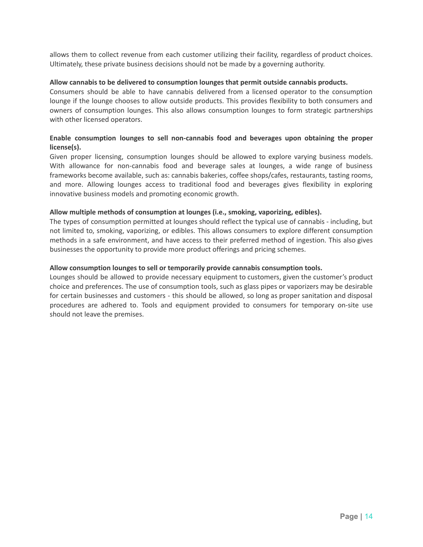allows them to collect revenue from each customer utilizing their facility, regardless of product choices. Ultimately, these private business decisions should not be made by a governing authority.

#### **Allow cannabis to be delivered to consumption lounges that permit outside cannabis products.**

Consumers should be able to have cannabis delivered from a licensed operator to the consumption lounge if the lounge chooses to allow outside products. This provides flexibility to both consumers and owners of consumption lounges. This also allows consumption lounges to form strategic partnerships with other licensed operators.

#### **Enable consumption lounges to sell non-cannabis food and beverages upon obtaining the proper license(s).**

Given proper licensing, consumption lounges should be allowed to explore varying business models. With allowance for non-cannabis food and beverage sales at lounges, a wide range of business frameworks become available, such as: cannabis bakeries, coffee shops/cafes, restaurants, tasting rooms, and more. Allowing lounges access to traditional food and beverages gives flexibility in exploring innovative business models and promoting economic growth.

#### **Allow multiple methods of consumption at lounges (i.e., smoking, vaporizing, edibles).**

The types of consumption permitted at lounges should reflect the typical use of cannabis - including, but not limited to, smoking, vaporizing, or edibles. This allows consumers to explore different consumption methods in a safe environment, and have access to their preferred method of ingestion. This also gives businesses the opportunity to provide more product offerings and pricing schemes.

#### **Allow consumption lounges to sell or temporarily provide cannabis consumption tools.**

Lounges should be allowed to provide necessary equipment to customers, given the customer's product choice and preferences. The use of consumption tools, such as glass pipes or vaporizers may be desirable for certain businesses and customers - this should be allowed, so long as proper sanitation and disposal procedures are adhered to. Tools and equipment provided to consumers for temporary on-site use should not leave the premises.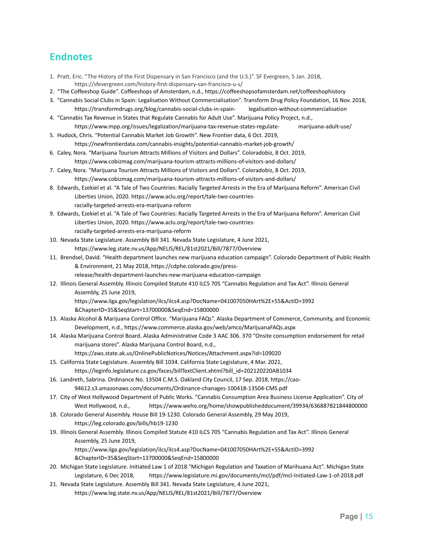# **Endnotes**

- 1. Pratt, Eric. "The History of the First Dispensary in San Francisco (and the U.S.)". SF Evergreen, 5 Jan. 2018, <https://sfevergreen.com/history-first-dispensary-san-francisco-u-s/>
- 2. "The Coffeeshop Guide". Coffeeshops of Amsterdam, n.d., <https://coffeeshopsofamsterdam.net/coffeeshophistory>
- 3. "Cannabis Social Clubs in Spain: Legalisation Without Commercialisation". Transform Drug Policy Foundation, 16 Nov. 2018, https://transformdrugs.org/blog/cannabis-social-clubs-in-spain- legalisation-without-commercialisation
- 4. "Cannabis Tax Revenue in States that Regulate Cannabis for Adult Use". Marijuana Policy Project, n.d., https://www.mpp.org/issues/legalization/marijuana-tax-revenue-states-regulate- marijuana-adult-use/
- 5. Hudock, Chris. "Potential Cannabis Market Job Growth". New Frontier data, 6 Oct. 2019, <https://newfrontierdata.com/cannabis-insights/potential-cannabis-market-job-growth/>
- 6. Caley, Nora. "Marijuana Tourism Attracts Millions of Visitors and Dollars". Coloradobiz, 8 Oct. 2019, <https://www.cobizmag.com/marijuana-tourism-attracts-millions-of-visitors-and-dollars/>
- 7. Caley, Nora. "Marijuana Tourism Attracts Millions of Visitors and Dollars". Coloradobiz, 8 Oct. 2019, <https://www.cobizmag.com/marijuana-tourism-attracts-millions-of-visitors-and-dollars/>
- 8. Edwards, Ezekiel et al. "A Tale of Two Countries: Racially Targeted Arrests in the Era of Marijuana Reform". American Civil Liberties Union, 2020. https://www.aclu.org/report/tale-two-countriesracially-targeted-arrests-era-marijuana-reform
- 9. Edwards, Ezekiel et al. "A Tale of Two Countries: Racially Targeted Arrests in the Era of Marijuana Reform". American Civil Liberties Union, 2020. https://www.aclu.org/report/tale-two-countriesracially-targeted-arrests-era-marijuana-reform
- 10. Nevada State Legislature. Assembly Bill 341. Nevada State Legislature, 4 June 2021, <https://www.leg.state.nv.us/App/NELIS/REL/81st2021/Bill/7877/Overview>
- 11. Brendsel, David. "Health department launches new marijuana education campaign". Colorado Department of Public Health & Environment, 21 May 2018, https://cdphe.colorado.gov/press
	- release/health-department-launches-new-marijuana-education-campaign
- 12. Illinois General Assembly. Illinois Compiled Statute 410 ILCS 705 "Cannabis Regulation and Tax Act". Illinois General Assembly, 25 June 2019,
	- https://www.ilga.gov/legislation/ilcs/ilcs4.asp?DocName=041007050HArt%2E+55&ActID=3992
	- &ChapterID=35&SeqStart=13700000&SeqEnd=15800000
- 13. Alaska Alcohol & Marijuana Control Office. "Marijuana FAQs". Alaska Department of Commerce, Community, and Economic Development, n.d., <https://www.commerce.alaska.gov/web/amco/MarijuanaFAQs.aspx>
- 14. Alaska Marijuana Control Board. Alaska Administrative Code 3 AAC 306. 370 "Onsite consumption endorsement for retail marijuana stores". Alaska Marijuana Control Board, n.d.,
	- <https://aws.state.ak.us/OnlinePublicNotices/Notices/Attachment.aspx?id=109020>
- 15. California State Legislature. Assembly Bill 1034. California State Legislature, 4 Mar. 2021, [https://leginfo.legislature.ca.gov/faces/billTextClient.xhtml?bill\\_id=202120220AB1034](https://leginfo.legislature.ca.gov/faces/billTextClient.xhtml?bill_id=202120220AB1034)
- 16. Landreth, Sabrina. Ordinance No. 13504 C.M.S. Oakland City Council, 17 Sep. 2018, https://cao-94612.s3.amazonaws.com/documents/Ordinance-chanages-100418-13504-CMS.pdf
- 17. City of West Hollywood Department of Public Works. "Cannabis Consumption Area Business License Application". City of West Hollywood, n.d., <https://www.weho.org/home/showpublisheddocument/39934/636887821844800000>
- 18. Colorado General Assembly. House Bill 19-1230. Colorado General Assembly, 29 May 2019, <https://leg.colorado.gov/bills/hb19-1230>
- 19. Illinois General Assembly. Illinois Compiled Statute 410 ILCS 705 "Cannabis Regulation and Tax Act". Illinois General Assembly, 25 June 2019, https://www.ilga.gov/legislation/ilcs/ilcs4.asp?DocName=041007050HArt%2E+55&ActID=3992
	- &ChapterID=35&SeqStart=13700000&SeqEnd=15800000
- 20. Michigan State Legislature. Initiated Law 1 of 2018 "Michigan Regulation and Taxation of Marihuana Act". Michigan State Legislature, 6 Dec 2018, <https://www.legislature.mi.gov/documents/mcl/pdf/mcl-Initiated-Law-1-of-2018.pdf>
- 21. Nevada State Legislature. Assembly Bill 341. Nevada State Legislature, 4 June 2021, <https://www.leg.state.nv.us/App/NELIS/REL/81st2021/Bill/7877/Overview>